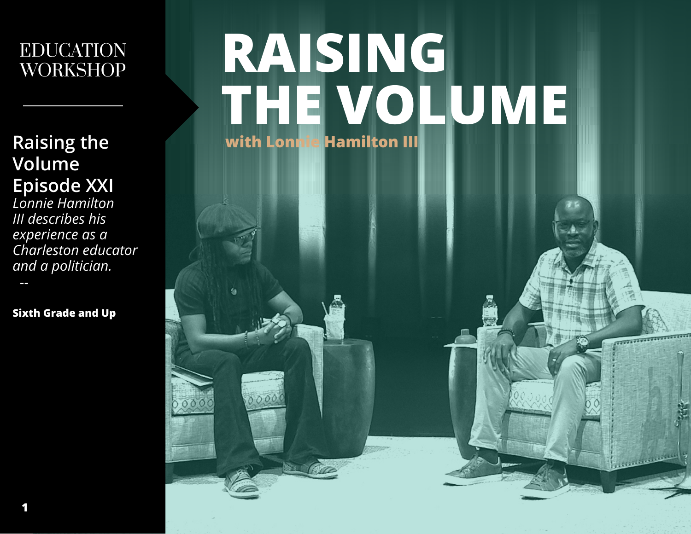### EDUCATION WORKSHOP

**Raising the Volume Episode XXI**

*Lonnie Hamilton III describes his experience as a Charleston educator and a politician. --*

**Sixth Grade and Up**

# **RAISING THE VOLUME with Lonnie Hamilton III**

 $00$ 

**TO THE TABLE OF** 

*<u>Robertscher General Indiana</u>*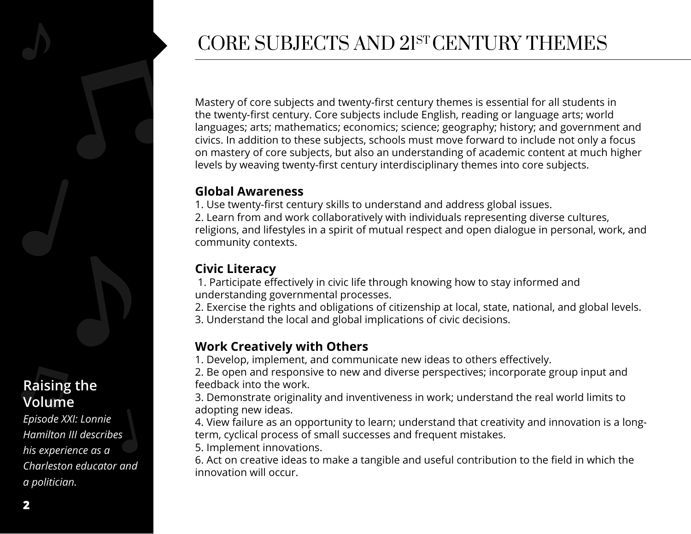

# CORE SUBJECTS AND 21ST CENTURY THEMES

Mastery of core subjects and twenty-first century themes is essential for all students in the twenty-first century. Core subjects include English, reading or language arts; world languages; arts; mathematics; economics; science; geography; history; and government and civics. In addition to these subjects, schools must move forward to include not only a focus on mastery of core subjects, but also an understanding of academic content at much higher levels by weaving twenty-first century interdisciplinary themes into core subjects.

#### **Global Awareness**

1. Use twenty-first century skills to understand and address global issues. 2. Learn from and work collaboratively with individuals representing diverse cultures, religions, and lifestyles in a spirit of mutual respect and open dialogue in personal, work, and community contexts.

### **Civic Literacy**

 1. Participate effectively in civic life through knowing how to stay informed and understanding governmental processes.

2. Exercise the rights and obligations of citizenship at local, state, national, and global levels. 3. Understand the local and global implications of civic decisions.

#### **Work Creatively with Others**

1. Develop, implement, and communicate new ideas to others effectively.

2. Be open and responsive to new and diverse perspectives; incorporate group input and feedback into the work.

3. Demonstrate originality and inventiveness in work; understand the real world limits to adopting new ideas.

4. View failure as an opportunity to learn; understand that creativity and innovation is a longterm, cyclical process of small successes and frequent mistakes.

5. Implement innovations.

6. Act on creative ideas to make a tangible and useful contribution to the field in which the innovation will occur.

### **Raising the Volume**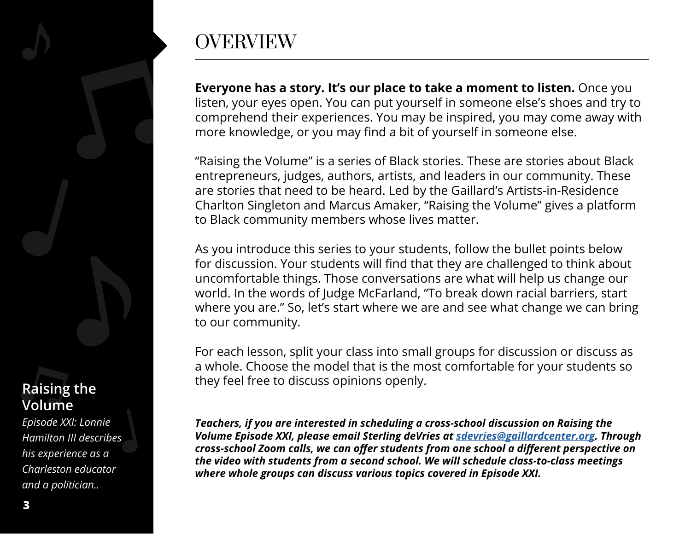# **OVERVIEW**

**Everyone has a story. It's our place to take a moment to listen.** Once you listen, your eyes open. You can put yourself in someone else's shoes and try to comprehend their experiences. You may be inspired, you may come away with more knowledge, or you may find a bit of yourself in someone else.

"Raising the Volume" is a series of Black stories. These are stories about Black entrepreneurs, judges, authors, artists, and leaders in our community. These are stories that need to be heard. Led by the Gaillard's Artists-in-Residence Charlton Singleton and Marcus Amaker, "Raising the Volume" gives a platform to Black community members whose lives matter.

As you introduce this series to your students, follow the bullet points below for discussion. Your students will find that they are challenged to think about uncomfortable things. Those conversations are what will help us change our world. In the words of Judge McFarland, "To break down racial barriers, start where you are." So, let's start where we are and see what change we can bring to our community.

For each lesson, split your class into small groups for discussion or discuss as a whole. Choose the model that is the most comfortable for your students so they feel free to discuss opinions openly.

*Teachers, if you are interested in scheduling a cross-school discussion on Raising the Volume Episode XXI, please email Sterling deVries at [sdevries@gaillardcenter.org.](mailto:sdevries%40gaillardcenter.org?subject=) Through cross-school Zoom calls, we can offer students from one school a different perspective on the video with students from a second school. We will schedule class-to-class meetings where whole groups can discuss various topics covered in Episode XXI.*

### **Raising the Volume**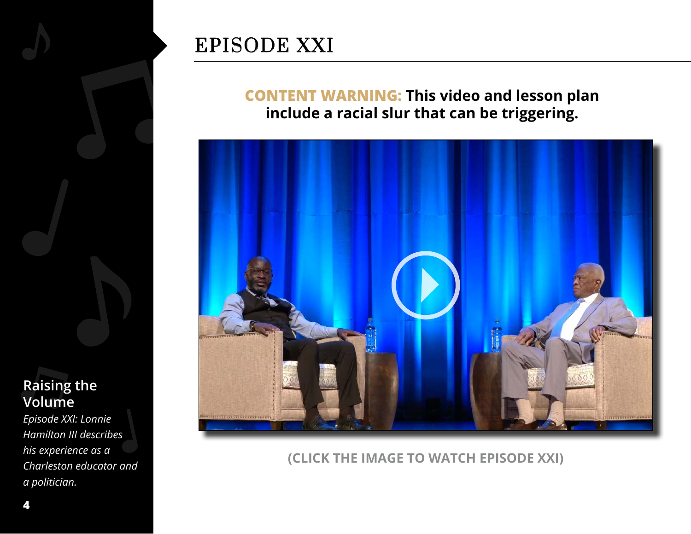

# EPISODE XXI

**CONTENT WARNING: This video and lesson plan include a racial slur that can be triggering.**



**(CLICK THE IMAGE TO WATCH EPISODE XXI)**

### **Raising the Volume**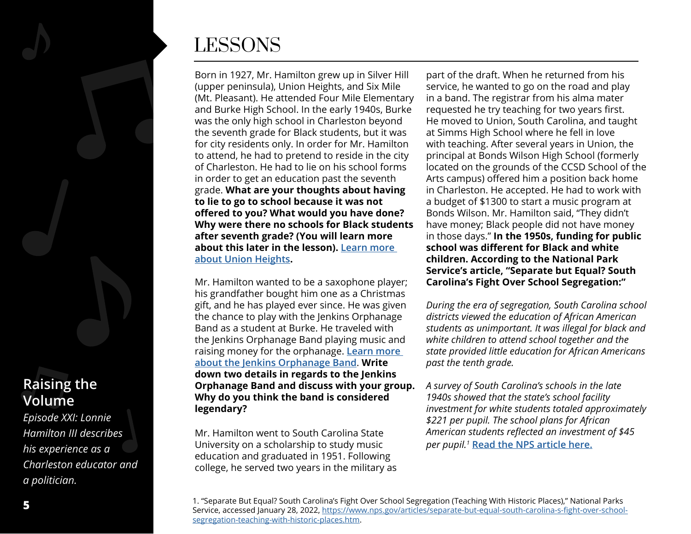

### **Raising the Volume**

*Episode XXI: Lonnie Hamilton III describes his experience as a Charleston educator and a politician.*

# LESSONS

Born in 1927, Mr. Hamilton grew up in Silver Hill (upper peninsula), Union Heights, and Six Mile (Mt. Pleasant). He attended Four Mile Elementary and Burke High School. In the early 1940s, Burke was the only high school in Charleston beyond the seventh grade for Black students, but it was for city residents only. In order for Mr. Hamilton to attend, he had to pretend to reside in the city of Charleston. He had to lie on his school forms in order to get an education past the seventh grade. **What are your thoughts about having to lie to go to school because it was not offered to you? What would you have done? Why were there no schools for Black students after seventh grade? (You will learn more about this later in the lesson). L[earn more](https://www.unionheightscc.org/home-alt)  [about Union Heights](https://www.unionheightscc.org/home-alt).**

Mr. Hamilton wanted to be a saxophone player; his grandfather bought him one as a Christmas gift, and he has played ever since. He was given the chance to play with the Jenkins Orphanage Band as a student at Burke. He traveled with the Jenkins Orphanage Band playing music and raising money for the orphanage. **[Learn more](http://www.jenkinsinstitute.org/index.php/our-history)  [about the Jenkins Orphanage Band](http://www.jenkinsinstitute.org/index.php/our-history)**. **Write down two details in regards to the Jenkins Orphanage Band and discuss with your group. Why do you think the band is considered legendary?**

Mr. Hamilton went to South Carolina State University on a scholarship to study music education and graduated in 1951. Following college, he served two years in the military as

part of the draft. When he returned from his service, he wanted to go on the road and play in a band. The registrar from his alma mater requested he try teaching for two years first. He moved to Union, South Carolina, and taught at Simms High School where he fell in love with teaching. After several years in Union, the principal at Bonds Wilson High School (formerly located on the grounds of the CCSD School of the Arts campus) offered him a position back home in Charleston. He accepted. He had to work with a budget of \$1300 to start a music program at Bonds Wilson. Mr. Hamilton said, "They didn't have money; Black people did not have money in those days." **In the 1950s, funding for public school was different for Black and white children. According to the National Park Service's article, "Separate but Equal? South Carolina's Fight Over School Segregation:"**

*During the era of segregation, South Carolina school districts viewed the education of African American students as unimportant. It was illegal for black and white children to attend school together and the state provided little education for African Americans past the tenth grade.*

*A survey of South Carolina's schools in the late 1940s showed that the state's school facility investment for white students totaled approximately \$221 per pupil. The school plans for African American students reflected an investment of \$45 per pupil.1* **[Read the NPS article here.](https://www.nps.gov/articles/separate-but-equal-south-carolina-s-fight-over-school-segregation-teaching-with-historic-places.htm)**

<sup>1. &</sup>quot;Separate But Equal? South Carolina's Fight Over School Segregation (Teaching With Historic Places)," National Parks Service, accessed January 28, 2022, [https://www.nps.gov/articles/separate-but-equal-south-carolina-s-fight-over-school](https://www.nps.gov/articles/separate-but-equal-south-carolina-s-fight-over-school-segregation-teaching-with-historic-places.htm)[segregation-teaching-with-historic-places.htm](https://www.nps.gov/articles/separate-but-equal-south-carolina-s-fight-over-school-segregation-teaching-with-historic-places.htm).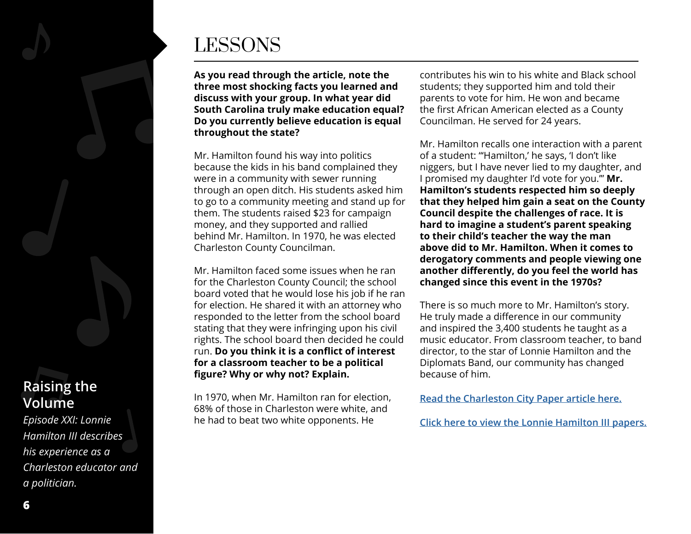

# LESSONS

**As you read through the article, note the three most shocking facts you learned and discuss with your group. In what year did South Carolina truly make education equal? Do you currently believe education is equal throughout the state?**

Mr. Hamilton found his way into politics because the kids in his band complained they were in a community with sewer running through an open ditch. His students asked him to go to a community meeting and stand up for them. The students raised \$23 for campaign money, and they supported and rallied behind Mr. Hamilton. In 1970, he was elected Charleston County Councilman.

Mr. Hamilton faced some issues when he ran for the Charleston County Council; the school board voted that he would lose his job if he ran for election. He shared it with an attorney who responded to the letter from the school board stating that they were infringing upon his civil rights. The school board then decided he could run. **Do you think it is a conflict of interest for a classroom teacher to be a political figure? Why or why not? Explain.**

In 1970, when Mr. Hamilton ran for election, 68% of those in Charleston were white, and he had to beat two white opponents. He

contributes his win to his white and Black school students; they supported him and told their parents to vote for him. He won and became the first African American elected as a County Councilman. He served for 24 years.

Mr. Hamilton recalls one interaction with a parent of a student: "'Hamilton,' he says, 'I don't like niggers, but I have never lied to my daughter, and I promised my daughter I'd vote for you.'" **Mr. Hamilton's students respected him so deeply that they helped him gain a seat on the County Council despite the challenges of race. It is hard to imagine a student's parent speaking to their child's teacher the way the man above did to Mr. Hamilton. When it comes to derogatory comments and people viewing one another differently, do you feel the world has changed since this event in the 1970s?** 

There is so much more to Mr. Hamilton's story. He truly made a difference in our community and inspired the 3,400 students he taught as a music educator. From classroom teacher, to band director, to the star of Lonnie Hamilton and the Diplomats Band, our community has changed because of him.

**[Read the Charleston City Paper article here.](https://charlestoncitypaper.com/lonnie-hamilton-iii-continues-to-build-his-legacy/)**

**[Click here to view the Lonnie Hamilton III papers.](https://avery.cofc.edu/archives/Hamilton_Lonnie.html)**

#### **Raising the Volume**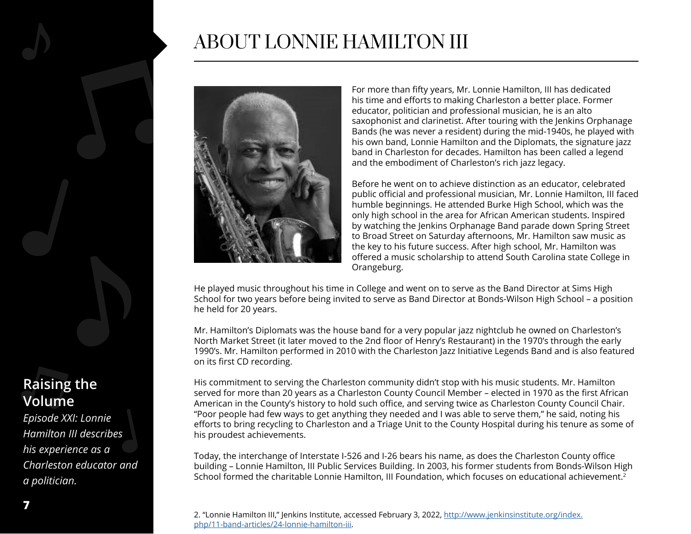### ABOUT LONNIE HAMILTON III



For more than fifty years, Mr. Lonnie Hamilton, III has dedicated his time and efforts to making Charleston a better place. Former educator, politician and professional musician, he is an alto saxophonist and clarinetist. After touring with the Jenkins Orphanage Bands (he was never a resident) during the mid-1940s, he played with his own band, Lonnie Hamilton and the Diplomats, the signature jazz band in Charleston for decades. Hamilton has been called a legend and the embodiment of Charleston's rich jazz legacy.

Before he went on to achieve distinction as an educator, celebrated public official and professional musician, Mr. Lonnie Hamilton, III faced humble beginnings. He attended Burke High School, which was the only high school in the area for African American students. Inspired by watching the Jenkins Orphanage Band parade down Spring Street to Broad Street on Saturday afternoons, Mr. Hamilton saw music as the key to his future success. After high school, Mr. Hamilton was offered a music scholarship to attend South Carolina state College in Orangeburg.

He played music throughout his time in College and went on to serve as the Band Director at Sims High School for two years before being invited to serve as Band Director at Bonds-Wilson High School – a position he held for 20 years.

Mr. Hamilton's Diplomats was the house band for a very popular jazz nightclub he owned on Charleston's North Market Street (it later moved to the 2nd floor of Henry's Restaurant) in the 1970's through the early 1990's. Mr. Hamilton performed in 2010 with the Charleston Jazz Initiative Legends Band and is also featured on its first CD recording.

His commitment to serving the Charleston community didn't stop with his music students. Mr. Hamilton served for more than 20 years as a Charleston County Council Member – elected in 1970 as the first African American in the County's history to hold such office, and serving twice as Charleston County Council Chair. "Poor people had few ways to get anything they needed and I was able to serve them," he said, noting his efforts to bring recycling to Charleston and a Triage Unit to the County Hospital during his tenure as some of his proudest achievements.

Today, the interchange of Interstate I-526 and I-26 bears his name, as does the Charleston County office building – Lonnie Hamilton, III Public Services Building. In 2003, his former students from Bonds-Wilson High School formed the charitable Lonnie Hamilton, III Foundation, which focuses on educational achievement.<sup>2</sup>

2. "Lonnie Hamilton III," Jenkins Institute, accessed February 3, 2022, [http://www.jenkinsinstitute.org/index.](http://www.jenkinsinstitute.org/index.php/11-band-articles/24-lonnie-hamilton-iii) [php/11-band-articles/24-lonnie-hamilton-iii.](http://www.jenkinsinstitute.org/index.php/11-band-articles/24-lonnie-hamilton-iii)

#### **Raising the Volume**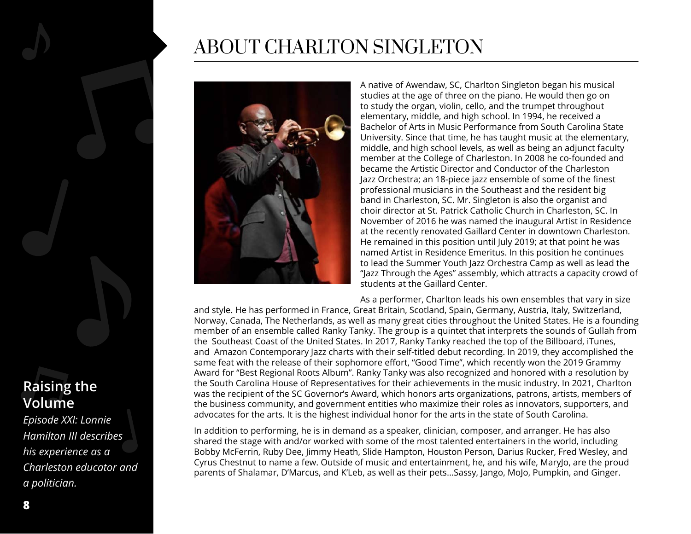### **Raising the Volume**

*Episode XXI: Lonnie Hamilton III describes his experience as a Charleston educator and a politician.*

# ABOUT CHARLTON SINGLETON



A native of Awendaw, SC, Charlton Singleton began his musical studies at the age of three on the piano. He would then go on to study the organ, violin, cello, and the trumpet throughout elementary, middle, and high school. In 1994, he received a Bachelor of Arts in Music Performance from South Carolina State University. Since that time, he has taught music at the elementary, middle, and high school levels, as well as being an adjunct faculty member at the College of Charleston. In 2008 he co-founded and became the Artistic Director and Conductor of the Charleston Jazz Orchestra; an 18-piece jazz ensemble of some of the finest professional musicians in the Southeast and the resident big band in Charleston, SC. Mr. Singleton is also the organist and choir director at St. Patrick Catholic Church in Charleston, SC. In November of 2016 he was named the inaugural Artist in Residence at the recently renovated Gaillard Center in downtown Charleston. He remained in this position until July 2019; at that point he was named Artist in Residence Emeritus. In this position he continues to lead the Summer Youth Jazz Orchestra Camp as well as lead the "Jazz Through the Ages" assembly, which attracts a capacity crowd of students at the Gaillard Center.

As a performer, Charlton leads his own ensembles that vary in size and style. He has performed in France, Great Britain, Scotland, Spain, Germany, Austria, Italy, Switzerland, Norway, Canada, The Netherlands, as well as many great cities throughout the United States. He is a founding member of an ensemble called Ranky Tanky. The group is a quintet that interprets the sounds of Gullah from the Southeast Coast of the United States. In 2017, Ranky Tanky reached the top of the Billboard, iTunes, and Amazon Contemporary Jazz charts with their self-titled debut recording. In 2019, they accomplished the same feat with the release of their sophomore effort, "Good Time", which recently won the 2019 Grammy Award for "Best Regional Roots Album". Ranky Tanky was also recognized and honored with a resolution by the South Carolina House of Representatives for their achievements in the music industry. In 2021, Charlton was the recipient of the SC Governor's Award, which honors arts organizations, patrons, artists, members of the business community, and government entities who maximize their roles as innovators, supporters, and advocates for the arts. It is the highest individual honor for the arts in the state of South Carolina.

In addition to performing, he is in demand as a speaker, clinician, composer, and arranger. He has also shared the stage with and/or worked with some of the most talented entertainers in the world, including Bobby McFerrin, Ruby Dee, Jimmy Heath, Slide Hampton, Houston Person, Darius Rucker, Fred Wesley, and Cyrus Chestnut to name a few. Outside of music and entertainment, he, and his wife, MaryJo, are the proud parents of Shalamar, D'Marcus, and K'Leb, as well as their pets...Sassy, Jango, MoJo, Pumpkin, and Ginger.